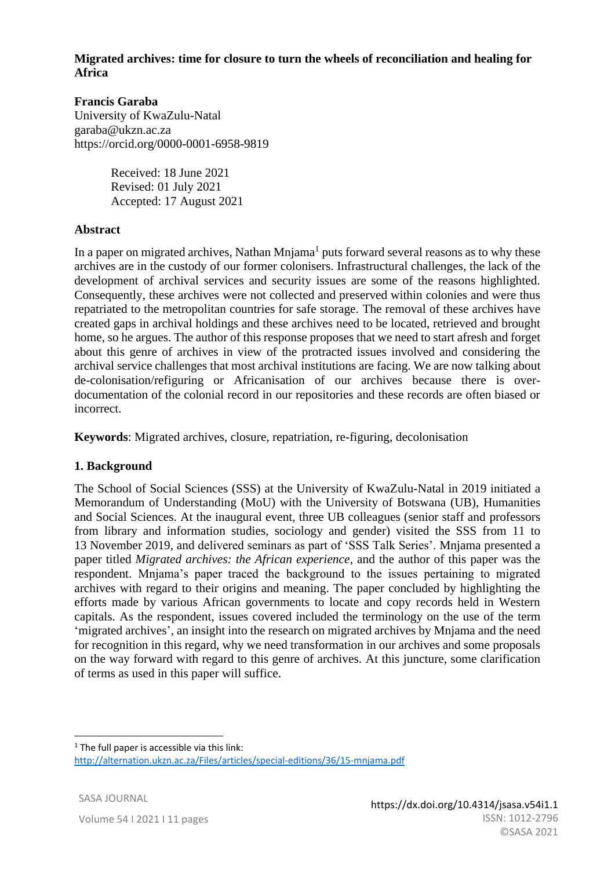# **Migrated archives: time for closure to turn the wheels of reconciliation and healing for Africa**

# **Francis Garaba**

University of KwaZulu-Natal garaba@ukzn.ac.za https://orcid.org/0000-0001-6958-9819

> Received: 18 June 2021 Revised: 01 July 2021 Accepted: 17 August 2021

# **Abstract**

In a paper on migrated archives, Nathan  $Mnjama<sup>1</sup>$  puts forward several reasons as to why these archives are in the custody of our former colonisers. Infrastructural challenges, the lack of the development of archival services and security issues are some of the reasons highlighted. Consequently, these archives were not collected and preserved within colonies and were thus repatriated to the metropolitan countries for safe storage. The removal of these archives have created gaps in archival holdings and these archives need to be located, retrieved and brought home, so he argues. The author of this response proposes that we need to start afresh and forget about this genre of archives in view of the protracted issues involved and considering the archival service challenges that most archival institutions are facing. We are now talking about de-colonisation/refiguring or Africanisation of our archives because there is overdocumentation of the colonial record in our repositories and these records are often biased or incorrect.

**Keywords**: Migrated archives, closure, repatriation, re-figuring, decolonisation

# **1. Background**

The School of Social Sciences (SSS) at the University of KwaZulu-Natal in 2019 initiated a Memorandum of Understanding (MoU) with the University of Botswana (UB), Humanities and Social Sciences. At the inaugural event, three UB colleagues (senior staff and professors from library and information studies, sociology and gender) visited the SSS from 11 to 13 November 2019, and delivered seminars as part of 'SSS Talk Series'. Mnjama presented a paper titled *Migrated archives: the African experience*, and the author of this paper was the respondent. Mnjama's paper traced the background to the issues pertaining to migrated archives with regard to their origins and meaning. The paper concluded by highlighting the efforts made by various African governments to locate and copy records held in Western capitals. As the respondent, issues covered included the terminology on the use of the term 'migrated archives', an insight into the research on migrated archives by Mnjama and the need for recognition in this regard, why we need transformation in our archives and some proposals on the way forward with regard to this genre of archives. At this juncture, some clarification of terms as used in this paper will suffice.

 $1$  The full paper is accessible via this link: http://alternation.ukzn.ac.za/Files/articles/special-editions/36/15-mnjama.pdf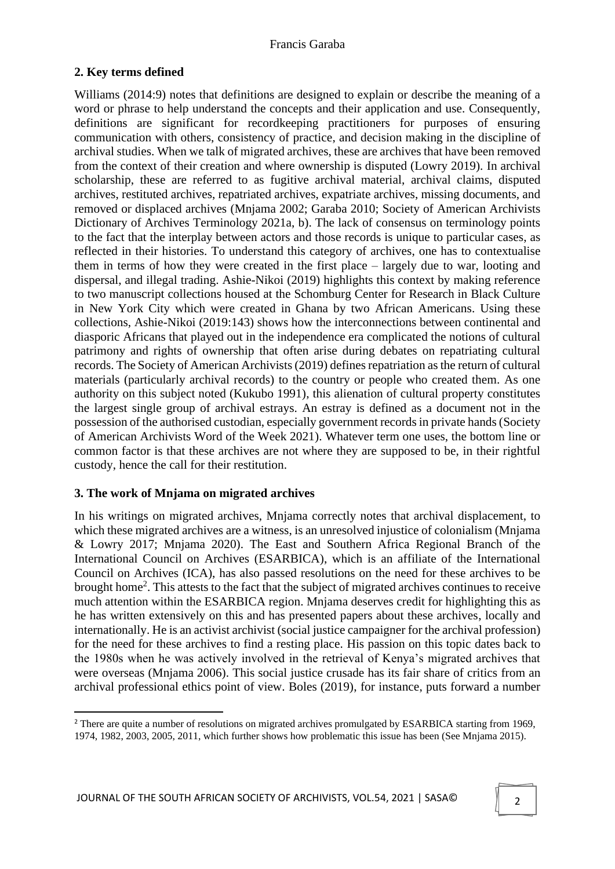# **2. Key terms defined**

Williams (2014:9) notes that definitions are designed to explain or describe the meaning of a word or phrase to help understand the concepts and their application and use. Consequently, definitions are significant for recordkeeping practitioners for purposes of ensuring communication with others, consistency of practice, and decision making in the discipline of archival studies. When we talk of migrated archives, these are archives that have been removed from the context of their creation and where ownership is disputed (Lowry 2019). In archival scholarship, these are referred to as fugitive archival material, archival claims, disputed archives, restituted archives, repatriated archives, expatriate archives, missing documents, and removed or displaced archives (Mnjama 2002; Garaba 2010; Society of American Archivists Dictionary of Archives Terminology 2021a, b). The lack of consensus on terminology points to the fact that the interplay between actors and those records is unique to particular cases, as reflected in their histories. To understand this category of archives, one has to contextualise them in terms of how they were created in the first place – largely due to war, looting and dispersal, and illegal trading. Ashie-Nikoi (2019) highlights this context by making reference to two manuscript collections housed at the Schomburg Center for Research in Black Culture in New York City which were created in Ghana by two African Americans. Using these collections, Ashie-Nikoi (2019:143) shows how the interconnections between continental and diasporic Africans that played out in the independence era complicated the notions of cultural patrimony and rights of ownership that often arise during debates on repatriating cultural records. The Society of American Archivists (2019) defines repatriation as the return of cultural materials (particularly archival records) to the country or people who created them. As one authority on this subject noted (Kukubo 1991), this alienation of cultural property constitutes the largest single group of archival estrays. An estray is defined as a document not in the possession of the authorised custodian, especially government records in private hands (Society of American Archivists Word of the Week 2021). Whatever term one uses, the bottom line or common factor is that these archives are not where they are supposed to be, in their rightful custody, hence the call for their restitution.

# **3. The work of Mnjama on migrated archives**

In his writings on migrated archives, Mnjama correctly notes that archival displacement, to which these migrated archives are a witness, is an unresolved injustice of colonialism (Mnjama & Lowry 2017; Mnjama 2020). The East and Southern Africa Regional Branch of the International Council on Archives (ESARBICA), which is an affiliate of the International Council on Archives (ICA), has also passed resolutions on the need for these archives to be brought home<sup>2</sup>. This attests to the fact that the subject of migrated archives continues to receive much attention within the ESARBICA region. Mnjama deserves credit for highlighting this as he has written extensively on this and has presented papers about these archives, locally and internationally. He is an activist archivist (social justice campaigner for the archival profession) for the need for these archives to find a resting place. His passion on this topic dates back to the 1980s when he was actively involved in the retrieval of Kenya's migrated archives that were overseas (Mnjama 2006). This social justice crusade has its fair share of critics from an archival professional ethics point of view. Boles (2019), for instance, puts forward a number

<sup>&</sup>lt;sup>2</sup> There are quite a number of resolutions on migrated archives promulgated by ESARBICA starting from 1969, 1974, 1982, 2003, 2005, 2011, which further shows how problematic this issue has been (See Mnjama 2015).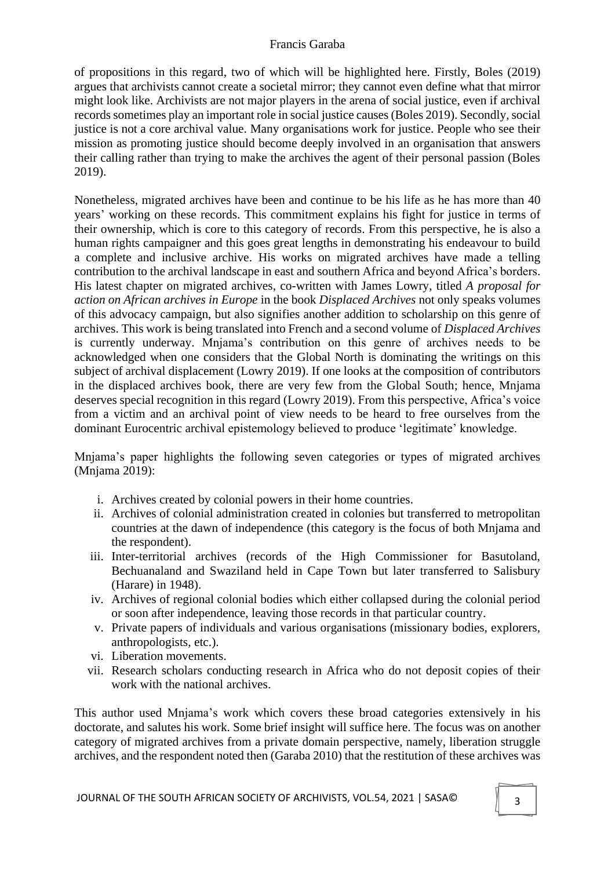of propositions in this regard, two of which will be highlighted here. Firstly, Boles (2019) argues that archivists cannot create a societal mirror; they cannot even define what that mirror might look like. Archivists are not major players in the arena of social justice, even if archival records sometimes play an important role in social justice causes (Boles 2019). Secondly, social justice is not a core archival value. Many organisations work for justice. People who see their mission as promoting justice should become deeply involved in an organisation that answers their calling rather than trying to make the archives the agent of their personal passion (Boles 2019).

Nonetheless, migrated archives have been and continue to be his life as he has more than 40 years' working on these records. This commitment explains his fight for justice in terms of their ownership, which is core to this category of records. From this perspective, he is also a human rights campaigner and this goes great lengths in demonstrating his endeavour to build a complete and inclusive archive. His works on migrated archives have made a telling contribution to the archival landscape in east and southern Africa and beyond Africa's borders. His latest chapter on migrated archives, co-written with James Lowry, titled *A proposal for action on African archives in Europe* in the book *Displaced Archives* not only speaks volumes of this advocacy campaign, but also signifies another addition to scholarship on this genre of archives. This work is being translated into French and a second volume of *Displaced Archives* is currently underway. Mnjama's contribution on this genre of archives needs to be acknowledged when one considers that the Global North is dominating the writings on this subject of archival displacement (Lowry 2019). If one looks at the composition of contributors in the displaced archives book, there are very few from the Global South; hence, Mnjama deserves special recognition in this regard (Lowry 2019). From this perspective, Africa's voice from a victim and an archival point of view needs to be heard to free ourselves from the dominant Eurocentric archival epistemology believed to produce 'legitimate' knowledge.

Mnjama's paper highlights the following seven categories or types of migrated archives (Mnjama 2019):

- i. Archives created by colonial powers in their home countries.
- ii. Archives of colonial administration created in colonies but transferred to metropolitan countries at the dawn of independence (this category is the focus of both Mnjama and the respondent).
- iii. Inter-territorial archives (records of the High Commissioner for Basutoland, Bechuanaland and Swaziland held in Cape Town but later transferred to Salisbury (Harare) in 1948).
- iv. Archives of regional colonial bodies which either collapsed during the colonial period or soon after independence, leaving those records in that particular country.
- v. Private papers of individuals and various organisations (missionary bodies, explorers, anthropologists, etc.).
- vi. Liberation movements.
- vii. Research scholars conducting research in Africa who do not deposit copies of their work with the national archives.

This author used Mnjama's work which covers these broad categories extensively in his doctorate, and salutes his work. Some brief insight will suffice here. The focus was on another category of migrated archives from a private domain perspective, namely, liberation struggle archives, and the respondent noted then (Garaba 2010) that the restitution of these archives was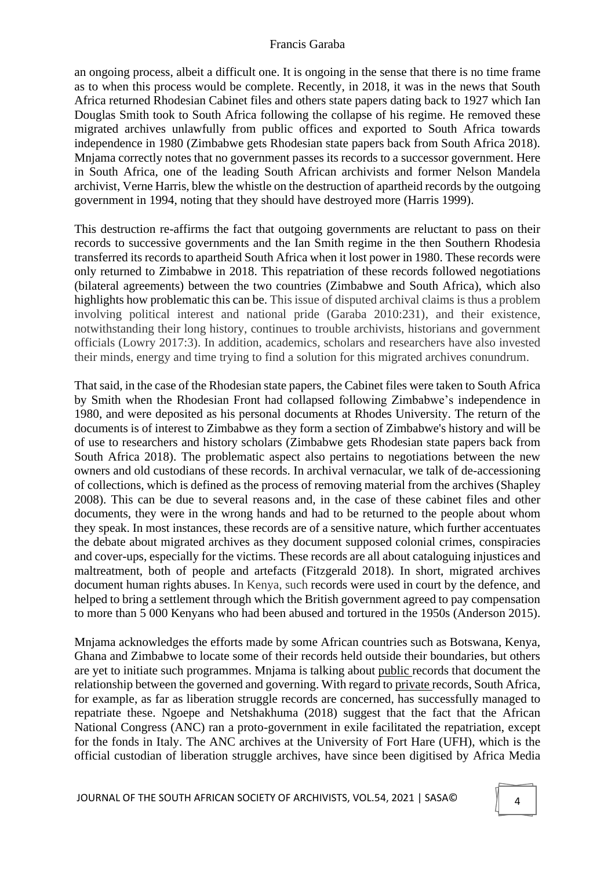an ongoing process, albeit a difficult one. It is ongoing in the sense that there is no time frame as to when this process would be complete. Recently, in 2018, it was in the news that South Africa returned Rhodesian Cabinet files and others state papers dating back to 1927 which Ian Douglas Smith took to South Africa following the collapse of his regime. He removed these migrated archives unlawfully from public offices and exported to South Africa towards independence in 1980 (Zimbabwe gets Rhodesian state papers back from South Africa 2018). Mnjama correctly notes that no government passes its records to a successor government. Here in South Africa, one of the leading South African archivists and former Nelson Mandela archivist, Verne Harris, blew the whistle on the destruction of apartheid records by the outgoing government in 1994, noting that they should have destroyed more (Harris 1999).

This destruction re-affirms the fact that outgoing governments are reluctant to pass on their records to successive governments and the Ian Smith regime in the then Southern Rhodesia transferred its records to apartheid South Africa when it lost power in 1980. These records were only returned to Zimbabwe in 2018. This repatriation of these records followed negotiations (bilateral agreements) between the two countries (Zimbabwe and South Africa), which also highlights how problematic this can be. This issue of disputed archival claims is thus a problem involving political interest and national pride (Garaba 2010:231), and their existence, notwithstanding their long history, continues to trouble archivists, historians and government officials (Lowry 2017:3). In addition, academics, scholars and researchers have also invested their minds, energy and time trying to find a solution for this migrated archives conundrum.

That said, in the case of the Rhodesian state papers, the Cabinet files were taken to South Africa by Smith when the Rhodesian Front had collapsed following Zimbabwe's independence in 1980, and were deposited as his personal documents at Rhodes University. The return of the documents is of interest to Zimbabwe as they form a section of Zimbabwe's history and will be of use to researchers and history scholars (Zimbabwe gets Rhodesian state papers back from South Africa 2018). The problematic aspect also pertains to negotiations between the new owners and old custodians of these records. In archival vernacular, we talk of de-accessioning of collections, which is defined as the process of removing material from the archives (Shapley 2008). This can be due to several reasons and, in the case of these cabinet files and other documents, they were in the wrong hands and had to be returned to the people about whom they speak. In most instances, these records are of a sensitive nature, which further accentuates the debate about migrated archives as they document supposed colonial crimes, conspiracies and cover-ups, especially for the victims. These records are all about cataloguing injustices and maltreatment, both of people and artefacts (Fitzgerald 2018). In short, migrated archives document human rights abuses. In Kenya, such records were used in court by the defence, and helped to bring a settlement through which the British government agreed to pay compensation to more than 5 000 Kenyans who had been abused and tortured in the 1950s (Anderson 2015).

Mnjama acknowledges the efforts made by some African countries such as Botswana, Kenya, Ghana and Zimbabwe to locate some of their records held outside their boundaries, but others are yet to initiate such programmes. Mnjama is talking about public records that document the relationship between the governed and governing. With regard to private records, South Africa, for example, as far as liberation struggle records are concerned, has successfully managed to repatriate these. Ngoepe and Netshakhuma (2018) suggest that the fact that the African National Congress (ANC) ran a proto-government in exile facilitated the repatriation, except for the fonds in Italy. The ANC archives at the University of Fort Hare (UFH), which is the official custodian of liberation struggle archives, have since been digitised by Africa Media

JOURNAL OF THE SOUTH AFRICAN SOCIETY OF ARCHIVISTS, VOL.54, 2021 | SASA©  $\parallel$  4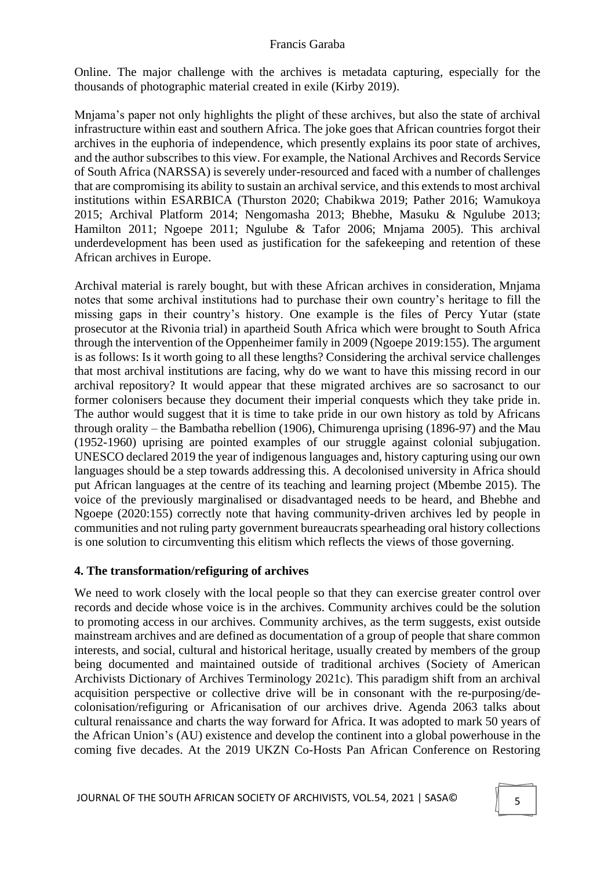Online. The major challenge with the archives is metadata capturing, especially for the thousands of photographic material created in exile (Kirby 2019).

Mnjama's paper not only highlights the plight of these archives, but also the state of archival infrastructure within east and southern Africa. The joke goes that African countries forgot their archives in the euphoria of independence, which presently explains its poor state of archives, and the author subscribes to this view. For example, the National Archives and Records Service of South Africa (NARSSA) is severely under-resourced and faced with a number of challenges that are compromising its ability to sustain an archival service, and this extends to most archival institutions within ESARBICA (Thurston 2020; Chabikwa 2019; Pather 2016; Wamukoya 2015; Archival Platform 2014; Nengomasha 2013; Bhebhe, Masuku & Ngulube 2013; Hamilton 2011; Ngoepe 2011; Ngulube & Tafor 2006; Mnjama 2005). This archival underdevelopment has been used as justification for the safekeeping and retention of these African archives in Europe.

Archival material is rarely bought, but with these African archives in consideration, Mnjama notes that some archival institutions had to purchase their own country's heritage to fill the missing gaps in their country's history. One example is the files of Percy Yutar (state prosecutor at the Rivonia trial) in apartheid South Africa which were brought to South Africa through the intervention of the Oppenheimer family in 2009 (Ngoepe 2019:155). The argument is as follows: Is it worth going to all these lengths? Considering the archival service challenges that most archival institutions are facing, why do we want to have this missing record in our archival repository? It would appear that these migrated archives are so sacrosanct to our former colonisers because they document their imperial conquests which they take pride in. The author would suggest that it is time to take pride in our own history as told by Africans through orality – the Bambatha rebellion (1906), Chimurenga uprising (1896-97) and the Mau (1952-1960) uprising are pointed examples of our struggle against colonial subjugation. UNESCO declared 2019 the year of indigenous languages and, history capturing using our own languages should be a step towards addressing this. A decolonised university in Africa should put African languages at the centre of its teaching and learning project (Mbembe 2015). The voice of the previously marginalised or disadvantaged needs to be heard, and Bhebhe and Ngoepe (2020:155) correctly note that having community-driven archives led by people in communities and not ruling party government bureaucrats spearheading oral history collections is one solution to circumventing this elitism which reflects the views of those governing.

### **4. The transformation/refiguring of archives**

We need to work closely with the local people so that they can exercise greater control over records and decide whose voice is in the archives. Community archives could be the solution to promoting access in our archives. Community archives, as the term suggests, exist outside mainstream archives and are defined as documentation of a group of people that share common interests, and social, cultural and historical heritage, usually created by members of the group being documented and maintained outside of traditional archives (Society of American Archivists Dictionary of Archives Terminology 2021c). This paradigm shift from an archival acquisition perspective or collective drive will be in consonant with the re-purposing/decolonisation/refiguring or Africanisation of our archives drive. Agenda 2063 talks about cultural renaissance and charts the way forward for Africa. It was adopted to mark 50 years of the African Union's (AU) existence and develop the continent into a global powerhouse in the coming five decades. At the 2019 UKZN Co-Hosts Pan African Conference on Restoring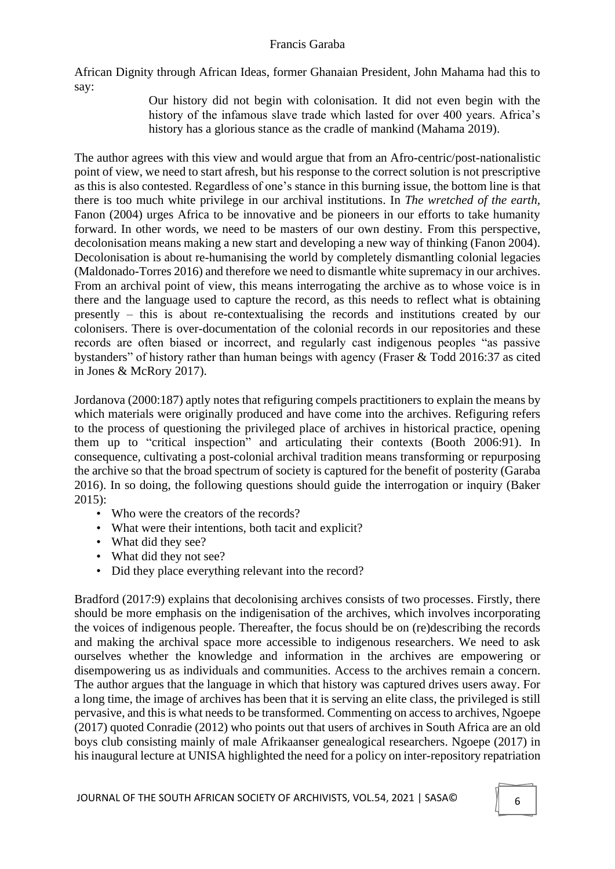African Dignity through African Ideas, former Ghanaian President, John Mahama had this to say:

Our history did not begin with colonisation. It did not even begin with the history of the infamous slave trade which lasted for over 400 years. Africa's history has a glorious stance as the cradle of mankind (Mahama 2019).

The author agrees with this view and would argue that from an Afro-centric/post-nationalistic point of view, we need to start afresh, but his response to the correct solution is not prescriptive as this is also contested. Regardless of one's stance in this burning issue, the bottom line is that there is too much white privilege in our archival institutions. In *The wretched of the earth,* Fanon (2004) urges Africa to be innovative and be pioneers in our efforts to take humanity forward. In other words, we need to be masters of our own destiny. From this perspective, decolonisation means making a new start and developing a new way of thinking (Fanon 2004). Decolonisation is about re-humanising the world by completely dismantling colonial legacies (Maldonado-Torres 2016) and therefore we need to dismantle white supremacy in our archives. From an archival point of view, this means interrogating the archive as to whose voice is in there and the language used to capture the record, as this needs to reflect what is obtaining presently – this is about re-contextualising the records and institutions created by our colonisers. There is over-documentation of the colonial records in our repositories and these records are often biased or incorrect, and regularly cast indigenous peoples "as passive bystanders" of history rather than human beings with agency (Fraser & Todd 2016:37 as cited in Jones & McRory 2017).

Jordanova (2000:187) aptly notes that refiguring compels practitioners to explain the means by which materials were originally produced and have come into the archives. Refiguring refers to the process of questioning the privileged place of archives in historical practice, opening them up to "critical inspection" and articulating their contexts (Booth 2006:91). In consequence, cultivating a post-colonial archival tradition means transforming or repurposing the archive so that the broad spectrum of society is captured for the benefit of posterity (Garaba 2016). In so doing, the following questions should guide the interrogation or inquiry (Baker 2015):

- Who were the creators of the records?
- What were their intentions, both tacit and explicit?
- What did they see?
- What did they not see?
- Did they place everything relevant into the record?

Bradford (2017:9) explains that decolonising archives consists of two processes. Firstly, there should be more emphasis on the indigenisation of the archives, which involves incorporating the voices of indigenous people. Thereafter, the focus should be on (re)describing the records and making the archival space more accessible to indigenous researchers. We need to ask ourselves whether the knowledge and information in the archives are empowering or disempowering us as individuals and communities. Access to the archives remain a concern. The author argues that the language in which that history was captured drives users away. For a long time, the image of archives has been that it is serving an elite class, the privileged is still pervasive, and this is what needs to be transformed. Commenting on access to archives, Ngoepe (2017) quoted Conradie (2012) who points out that users of archives in South Africa are an old boys club consisting mainly of male Afrikaanser genealogical researchers. Ngoepe (2017) in his inaugural lecture at UNISA highlighted the need for a policy on inter-repository repatriation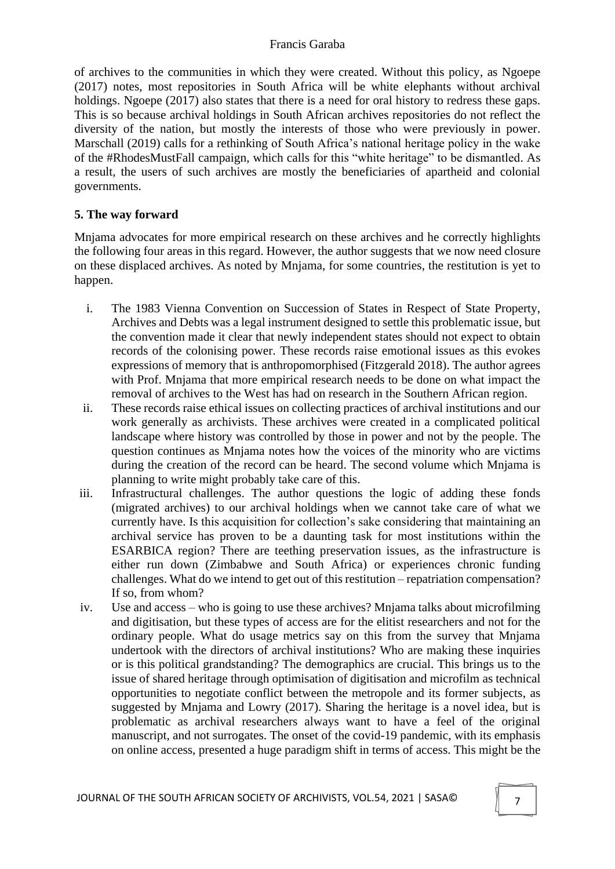of archives to the communities in which they were created. Without this policy, as Ngoepe (2017) notes, most repositories in South Africa will be white elephants without archival holdings. Ngoepe (2017) also states that there is a need for oral history to redress these gaps. This is so because archival holdings in South African archives repositories do not reflect the diversity of the nation, but mostly the interests of those who were previously in power. Marschall (2019) calls for a rethinking of South Africa's national heritage policy in the wake of the #RhodesMustFall campaign, which calls for this "white heritage" to be dismantled. As a result, the users of such archives are mostly the beneficiaries of apartheid and colonial governments.

# **5. The way forward**

Mnjama advocates for more empirical research on these archives and he correctly highlights the following four areas in this regard. However, the author suggests that we now need closure on these displaced archives. As noted by Mnjama, for some countries, the restitution is yet to happen.

- i. The 1983 Vienna Convention on Succession of States in Respect of State Property, Archives and Debts was a legal instrument designed to settle this problematic issue, but the convention made it clear that newly independent states should not expect to obtain records of the colonising power. These records raise emotional issues as this evokes expressions of memory that is anthropomorphised (Fitzgerald 2018). The author agrees with Prof. Mnjama that more empirical research needs to be done on what impact the removal of archives to the West has had on research in the Southern African region.
- ii. These records raise ethical issues on collecting practices of archival institutions and our work generally as archivists. These archives were created in a complicated political landscape where history was controlled by those in power and not by the people. The question continues as Mnjama notes how the voices of the minority who are victims during the creation of the record can be heard. The second volume which Mnjama is planning to write might probably take care of this.
- iii. Infrastructural challenges. The author questions the logic of adding these fonds (migrated archives) to our archival holdings when we cannot take care of what we currently have. Is this acquisition for collection's sake considering that maintaining an archival service has proven to be a daunting task for most institutions within the ESARBICA region? There are teething preservation issues, as the infrastructure is either run down (Zimbabwe and South Africa) or experiences chronic funding challenges. What do we intend to get out of this restitution – repatriation compensation? If so, from whom?
- iv. Use and access who is going to use these archives? Mnjama talks about microfilming and digitisation, but these types of access are for the elitist researchers and not for the ordinary people. What do usage metrics say on this from the survey that Mnjama undertook with the directors of archival institutions? Who are making these inquiries or is this political grandstanding? The demographics are crucial. This brings us to the issue of shared heritage through optimisation of digitisation and microfilm as technical opportunities to negotiate conflict between the metropole and its former subjects, as suggested by Mnjama and Lowry (2017). Sharing the heritage is a novel idea, but is problematic as archival researchers always want to have a feel of the original manuscript, and not surrogates. The onset of the covid-19 pandemic, with its emphasis on online access, presented a huge paradigm shift in terms of access. This might be the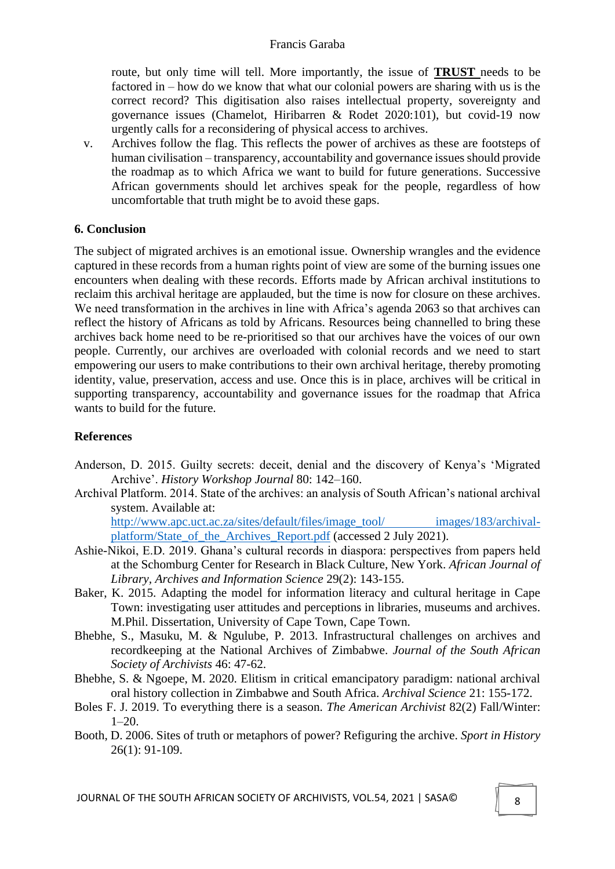route, but only time will tell. More importantly, the issue of **TRUST** needs to be factored in – how do we know that what our colonial powers are sharing with us is the correct record? This digitisation also raises intellectual property, sovereignty and governance issues (Chamelot, Hiribarren & Rodet 2020:101), but covid-19 now urgently calls for a reconsidering of physical access to archives.

v. Archives follow the flag. This reflects the power of archives as these are footsteps of human civilisation – transparency, accountability and governance issues should provide the roadmap as to which Africa we want to build for future generations. Successive African governments should let archives speak for the people, regardless of how uncomfortable that truth might be to avoid these gaps.

### **6. Conclusion**

The subject of migrated archives is an emotional issue. Ownership wrangles and the evidence captured in these records from a human rights point of view are some of the burning issues one encounters when dealing with these records. Efforts made by African archival institutions to reclaim this archival heritage are applauded, but the time is now for closure on these archives. We need transformation in the archives in line with Africa's agenda 2063 so that archives can reflect the history of Africans as told by Africans. Resources being channelled to bring these archives back home need to be re-prioritised so that our archives have the voices of our own people. Currently, our archives are overloaded with colonial records and we need to start empowering our users to make contributions to their own archival heritage, thereby promoting identity, value, preservation, access and use. Once this is in place, archives will be critical in supporting transparency, accountability and governance issues for the roadmap that Africa wants to build for the future.

### **References**

- Anderson, D. 2015. Guilty secrets: deceit, denial and the discovery of Kenya's 'Migrated Archive'. *History Workshop Journal* 80: 142–160.
- Archival Platform. 2014. State of the archives: an analysis of South African's national archival system. Available at:

[http://www.apc.uct.ac.za/sites/default/files/image\\_tool/ images/183/archival](http://www.apc.uct.ac.za/sites/default/files/image_tool/%20images/183/archival-platform/State_of_the_Archives_Report.pdf)[platform/State\\_of\\_the\\_Archives\\_Report.pdf](http://www.apc.uct.ac.za/sites/default/files/image_tool/%20images/183/archival-platform/State_of_the_Archives_Report.pdf) (accessed 2 July 2021).

- Ashie-Nikoi, E.D. 2019. Ghana's cultural records in diaspora: perspectives from papers held at the Schomburg Center for Research in Black Culture, New York. *African Journal of Library, Archives and Information Science* 29(2): 143-155.
- Baker, K. 2015. Adapting the model for information literacy and cultural heritage in Cape Town: investigating user attitudes and perceptions in libraries, museums and archives. M.Phil. Dissertation, University of Cape Town, Cape Town.
- Bhebhe, S., Masuku, M. & Ngulube, P. 2013. Infrastructural challenges on archives and recordkeeping at the National Archives of Zimbabwe. *Journal of the South African Society of Archivists* 46: 47-62.
- Bhebhe, S. & Ngoepe, M. 2020. Elitism in critical emancipatory paradigm: national archival oral history collection in Zimbabwe and South Africa. *Archival Science* 21: 155-172.
- Boles F. J. 2019. To everything there is a season. *The American Archivist* 82(2) Fall/Winter:  $1-20$ .
- Booth, D. 2006. Sites of truth or metaphors of power? Refiguring the archive. *Sport in History* 26(1): 91-109.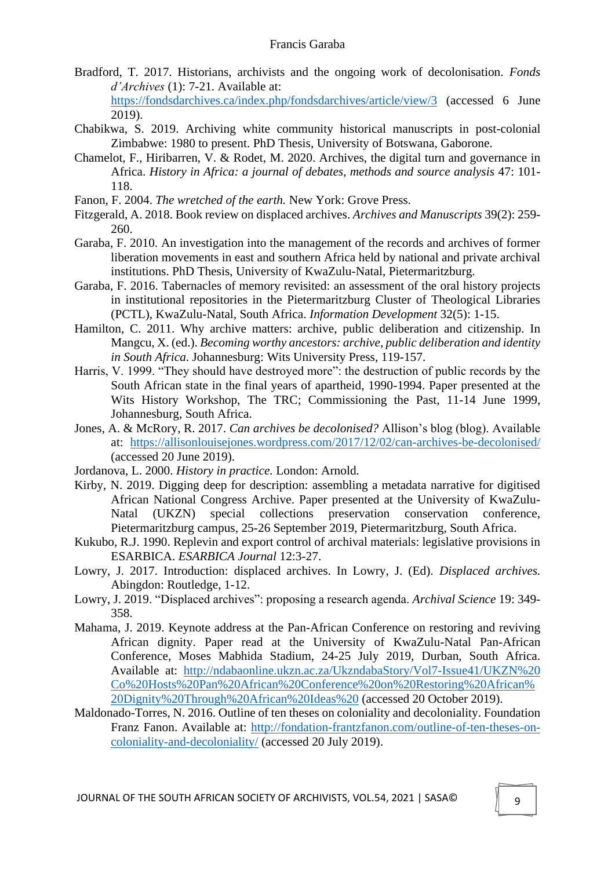- Bradford, T. 2017. Historians, archivists and the ongoing work of decolonisation. *Fonds d'Archives* (1): 7-21. Available at: https://fondsdarchives.ca/index.php/fondsdarchives/article/view/3 (accessed 6 June 2019).
- Chabikwa, S. 2019. Archiving white community historical manuscripts in post-colonial Zimbabwe: 1980 to present. PhD Thesis, University of Botswana, Gaborone.
- Chamelot, F., Hiribarren, V. & Rodet, M. 2020. Archives, the digital turn and governance in Africa. *History in Africa: a journal of debates, methods and source analysis* 47: 101- 118.
- Fanon, F. 2004. *The wretched of the earth.* New York: Grove Press.
- Fitzgerald, A. 2018. Book review on displaced archives. *Archives and Manuscripts* 39(2): 259- 260.
- Garaba, F. 2010. An investigation into the management of the records and archives of former liberation movements in east and southern Africa held by national and private archival institutions. PhD Thesis, University of KwaZulu-Natal, Pietermaritzburg.
- Garaba, F. 2016. Tabernacles of memory revisited: an assessment of the oral history projects in institutional repositories in the Pietermaritzburg Cluster of Theological Libraries (PCTL), KwaZulu-Natal, South Africa. *Information Development* 32(5): 1-15.
- Hamilton, C. 2011. Why archive matters: archive, public deliberation and citizenship. In Mangcu, X. (ed.). *Becoming worthy ancestors: archive, public deliberation and identity in South Africa*. Johannesburg: Wits University Press, 119-157.
- Harris, V. 1999. "They should have destroyed more": the destruction of public records by the South African state in the final years of apartheid, 1990-1994. Paper presented at the Wits History Workshop, The TRC; Commissioning the Past, 11-14 June 1999, Johannesburg, South Africa.
- Jones, A. & McRory, R. 2017. *Can archives be decolonised?* Allison's blog (blog). Available at: https://allisonlouisejones.wordpress.com/2017/12/02/can-archives-be-decolonised/ (accessed 20 June 2019).
- Jordanova, L. 2000. *History in practice.* London: Arnold.
- Kirby, N. 2019. Digging deep for description: assembling a metadata narrative for digitised African National Congress Archive. Paper presented at the University of KwaZulu-Natal (UKZN) special collections preservation conservation conference, Pietermaritzburg campus, 25-26 September 2019, Pietermaritzburg, South Africa.
- Kukubo, R.J. 1990. Replevin and export control of archival materials: legislative provisions in ESARBICA. *ESARBICA Journal* 12:3-27.
- Lowry, J. 2017. Introduction: displaced archives. In Lowry, J. (Ed). *Displaced archives.* Abingdon: Routledge, 1-12.
- Lowry, J. 2019. "Displaced archives": proposing a research agenda. *Archival Science* 19: 349- 358.
- Mahama, J. 2019. Keynote address at the Pan-African Conference on restoring and reviving African dignity. Paper read at the University of KwaZulu-Natal Pan-African Conference, Moses Mabhida Stadium, 24-25 July 2019, Durban, South Africa. Available at: [http://ndabaonline.ukzn.ac.za/UkzndabaStory/Vol7-Issue41/UKZN%20](http://ndabaonline.ukzn.ac.za/UkzndabaStory/Vol7-Issue41/UKZN%20%20Co%20Hosts%20Pan%20African%20Conference%20on%20Restoring%20African%20Dignity%20Through%20African%20Ideas)  [Co%20Hosts%20Pan%20African%20Conference%20on%20Restoring%20African%](http://ndabaonline.ukzn.ac.za/UkzndabaStory/Vol7-Issue41/UKZN%20%20Co%20Hosts%20Pan%20African%20Conference%20on%20Restoring%20African%20Dignity%20Through%20African%20Ideas) [20Dignity%20Through%20African%20Ideas%20](http://ndabaonline.ukzn.ac.za/UkzndabaStory/Vol7-Issue41/UKZN%20%20Co%20Hosts%20Pan%20African%20Conference%20on%20Restoring%20African%20Dignity%20Through%20African%20Ideas) (accessed 20 October 2019).
- Maldonado-Torres, N. 2016. Outline of ten theses on coloniality and decoloniality. Foundation Franz Fanon. Available at: http://fondation-frantzfanon.com/outline-of-ten-theses-oncoloniality-and-decoloniality/ (accessed 20 July 2019).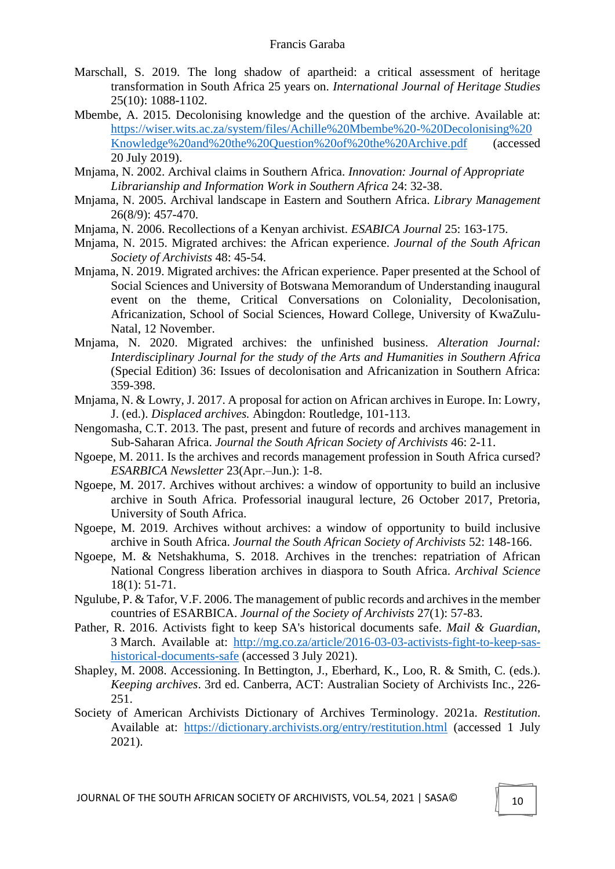- Marschall, S. 2019. The long shadow of apartheid: a critical assessment of heritage transformation in South Africa 25 years on. *International Journal of Heritage Studies* 25(10): 1088-1102.
- Mbembe, A. 2015. Decolonising knowledge and the question of the archive. Available at: [https://wiser.wits.ac.za/system/files/Achille%20Mbembe%20-%20Decolonising%20](https://wiser.wits.ac.za/system/files/Achille%20Mbembe%20-%20Decolonising%20%20Knowledge%20and%20the%20Question%20of%20the%20Archive.pdf)  [Knowledge%20and%20the%20Question%20of%20the%20Archive.pdf](https://wiser.wits.ac.za/system/files/Achille%20Mbembe%20-%20Decolonising%20%20Knowledge%20and%20the%20Question%20of%20the%20Archive.pdf) (accessed 20 July 2019).
- Mnjama, N. 2002. Archival claims in Southern Africa. *Innovation: Journal of Appropriate Librarianship and Information Work in Southern Africa* 24: 32-38.
- Mnjama, N. 2005. Archival landscape in Eastern and Southern Africa. *Library Management*  26(8/9): 457-470.
- Mnjama, N. 2006. Recollections of a Kenyan archivist. *ESABICA Journal* 25: 163-175.
- Mnjama, N. 2015. Migrated archives: the African experience. *Journal of the South African Society of Archivists* 48: 45-54.
- Mnjama, N. 2019. Migrated archives: the African experience. Paper presented at the School of Social Sciences and University of Botswana Memorandum of Understanding inaugural event on the theme, Critical Conversations on Coloniality, Decolonisation, Africanization, School of Social Sciences, Howard College, University of KwaZulu-Natal, 12 November.
- Mnjama, N. 2020. Migrated archives: the unfinished business. *Alteration Journal: Interdisciplinary Journal for the study of the Arts and Humanities in Southern Africa* (Special Edition) 36: Issues of decolonisation and Africanization in Southern Africa: 359-398.
- Mnjama, N. & Lowry, J. 2017. A proposal for action on African archives in Europe. In: Lowry, J. (ed.). *Displaced archives.* Abingdon: Routledge, 101-113.
- Nengomasha, C.T. 2013. The past, present and future of records and archives management in Sub-Saharan Africa. *Journal the South African Society of Archivists* 46: 2-11.
- Ngoepe, M. 2011. Is the archives and records management profession in South Africa cursed? *ESARBICA Newsletter* 23(Apr.–Jun.): 1-8.
- Ngoepe, M. 2017. Archives without archives: a window of opportunity to build an inclusive archive in South Africa. Professorial inaugural lecture, 26 October 2017, Pretoria, University of South Africa.
- Ngoepe, M. 2019. Archives without archives: a window of opportunity to build inclusive archive in South Africa. *Journal the South African Society of Archivists* 52: 148-166.
- Ngoepe, M. & Netshakhuma, S. 2018. Archives in the trenches: repatriation of African National Congress liberation archives in diaspora to South Africa. *Archival Science* 18(1): 51-71.
- Ngulube, P. & Tafor, V.F. 2006. The management of public records and archives in the member countries of ESARBICA. *Journal of the Society of Archivists* 27(1): 57-83.
- Pather, R. 2016. Activists fight to keep SA's historical documents safe. *Mail & Guardian*, 3 March. Available at: http://mg.co.za/article/2016-03-03-activists-fight-to-keep-sashistorical-documents-safe (accessed 3 July 2021).
- Shapley, M. 2008. Accessioning. In Bettington, J., Eberhard, K., Loo, R. & Smith, C. (eds.). *Keeping archives*. 3rd ed. Canberra, ACT: Australian Society of Archivists Inc., 226- 251.
- Society of American Archivists Dictionary of Archives Terminology. 2021a. *Restitution*. Available at: https://dictionary.archivists.org/entry/restitution.html (accessed 1 July 2021).

JOURNAL OF THE SOUTH AFRICAN SOCIETY OF ARCHIVISTS, VOL.54, 2021 | SASA©  $\parallel$  10